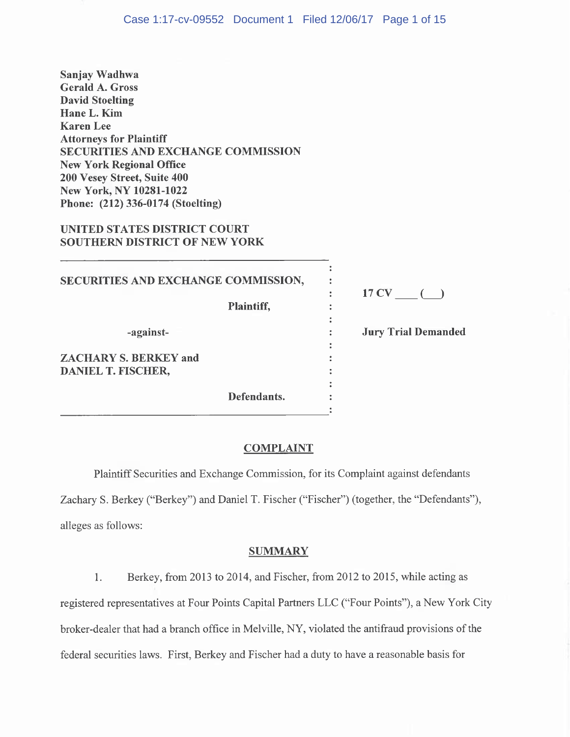**Sanjay Wadhwa Gerald A. Gross David Stoelting HaneL. Kim Karen Lee Attorneys for Plaintiff SECURITIES AND EXCHANGE COMMISSION New York Regional Office 200 Vesey Street, Suite 400 New York, NY 10281-1022 Phone: (212) 336-0174 (Stoelting)** 

## **UNITED STATES DISTRICT COURT SOUTHERN DISTRICT OF NEW YORK**

| SECURITIES AND EXCHANGE COMMISSION,<br><b>Plaintiff,</b> | 17 CV                      |
|----------------------------------------------------------|----------------------------|
| -against-                                                | <b>Jury Trial Demanded</b> |
| <b>ZACHARY S. BERKEY and</b><br>DANIEL T. FISCHER,       |                            |
| Defendants.                                              |                            |

## **COMPLAINT**

Plaintiff Securities and Exchange Commission, for its Complaint against defendants Zachary S. Berkey ("Berkey") and Daniel T. Fischer ("Fischer") (together, the "Defendants"), alleges as follows:

### **SUMMARY**

1. Berkey, from 2013 to 2014, and Fischer, from 2012 to 2015, while acting as registered representatives at Four Points Capital Partners LLC ("Four Points"), a New York City broker-dealer that had a branch office in Melville, NY, violated the antifraud provisions of the federal securities laws. First, Berkey and Fischer had a duty to have a reasonable basis for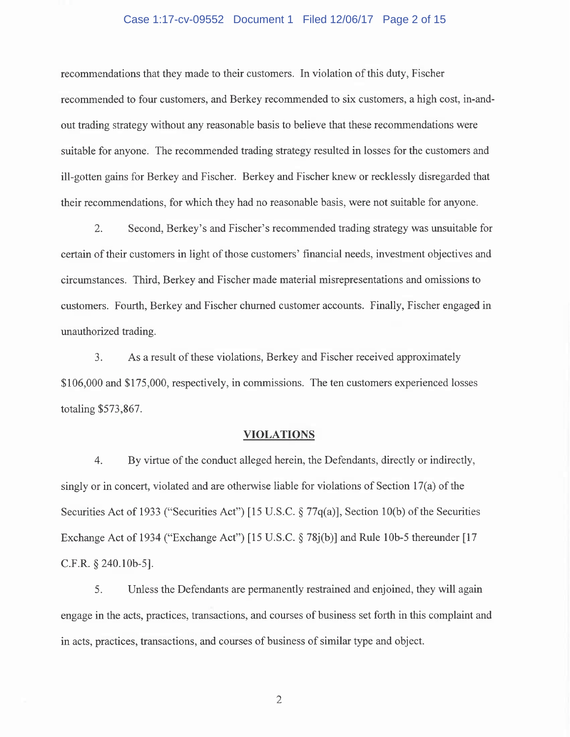#### Case 1:17-cv-09552 Document 1 Filed 12/06/17 Page 2 of 15

recommendations that they made to their customers. In violation of this duty, Fischer recommended to four customers, and Berkey recommended to six customers, a high cost, in-andout trading strategy without any reasonable basis to believe that these recommendations were suitable for anyone. The recommended trading strategy resulted in losses for the customers and ill-gotten gains for Berkey and Fischer. Berkey and Fischer knew or recklessly disregarded that their recommendations, for which they had no reasonable basis, were not suitable for anyone.

2. Second, Berkey's and Fischer's recommended trading strategy was unsuitable for certain of their customers in light of those customers' financial needs, investment objectives and circumstances. Third, Berkey and Fischer made material misrepresentations and omissions to customers. Fourth, Berkey and Fischer churned customer accounts. Finally, Fischer engaged in unauthorized trading.

3. As a result of these violations, Berkey and Fischer received approximately \$106,000 and \$175,000, respectively, in commissions. The ten customers experienced losses totaling \$573,867.

### **VIOLATIONS**

4. By virtue of the conduct alleged herein, the Defendants, directly or indirectly, singly or in concert, violated and are otherwise liable for violations of Section 17(a) of the Securities Act of 1933 ("Securities Act") [15 U.S.C. § 77q(a)], Section l0(b) of the Securities Exchange Act of 1934 ("Exchange Act") [15 U.S.C. § 78j(b)] and Rule lOb-5 thereunder [17 C.F.R. § 240.10b-5].

5. Unless the Defendants are permanently restrained and enjoined, they will again engage in the acts, practices, transactions, and courses of business set forth in this complaint and in acts, practices, transactions, and courses of business of similar type and object.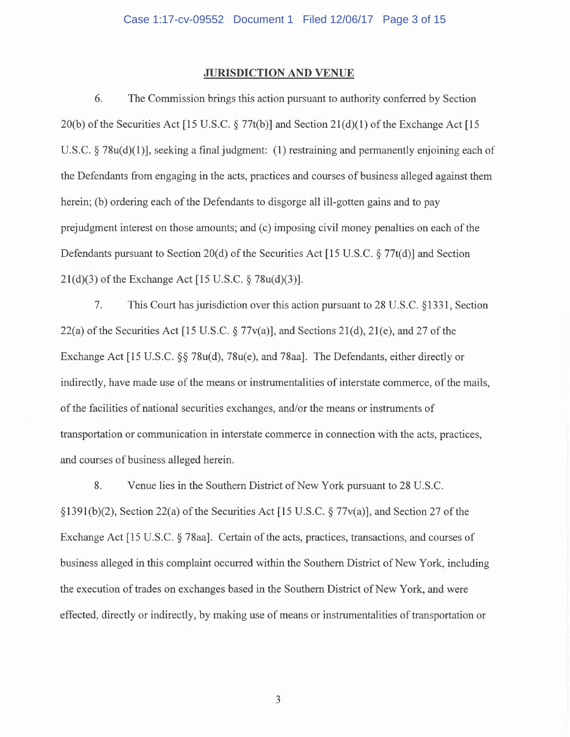#### **JURISDICTION AND VENUE**

6. The Commission brings this action pursuant to authority conferred by Section 20(b) of the Securities Act [15 U.S.C.  $\S 77t(b)$ ] and Section 21(d)(1) of the Exchange Act [15] U.S.C. § 78u(d)(l)], seeking a final judgment: **(1)** restraining and permanently enjoining each of the Defendants from engaging in the acts, practices and courses of business alleged against them herein; (b) ordering each of the Defendants to disgorge all ill-gotten gains and to pay prejudgment interest on those amounts; and (c) imposing civil money penalties on each of the Defendants pursuant to Section 20(d) of the Securities Act [15 U.S.C. § 77t(d)] and Section 21(d)(3) of the Exchange Act [15 U.S.C. § 78u(d)(3)].

7. This Court has jurisdiction over this action pursuant to 28 U.S.C. § 1331, Section 22(a) of the Securities Act [15 U.S.C.  $\S 77v(a)$ ], and Sections 21(d), 21(e), and 27 of the Exchange Act [15 U.S.C. §§ 78u(d), 78u(e), and 78aa]. The Defendants, either directly or indirectly, have made use of the means or instrumentalities of interstate commerce, of the mails, of the facilities of national securities exchanges, and/or the means or instruments of transportation or communication in interstate commerce in connection with the acts, practices, and courses of business alleged herein.

8. Venue lies in the Southern District of New York pursuant to 28 U.S.C.  $\S 1391(b)(2)$ , Section 22(a) of the Securities Act [15 U.S.C.  $\S 77v(a)$ ], and Section 27 of the Exchange Act [15 U.S.C. § 78aa]. Certain of the acts, practices, transactions, and courses of business alleged in this complaint occurred within the Southern District of New York, including the execution of trades on exchanges based in the Southern District of New York, and were effected, directly or indirectly, by making use of means or instrumentalities of transportation or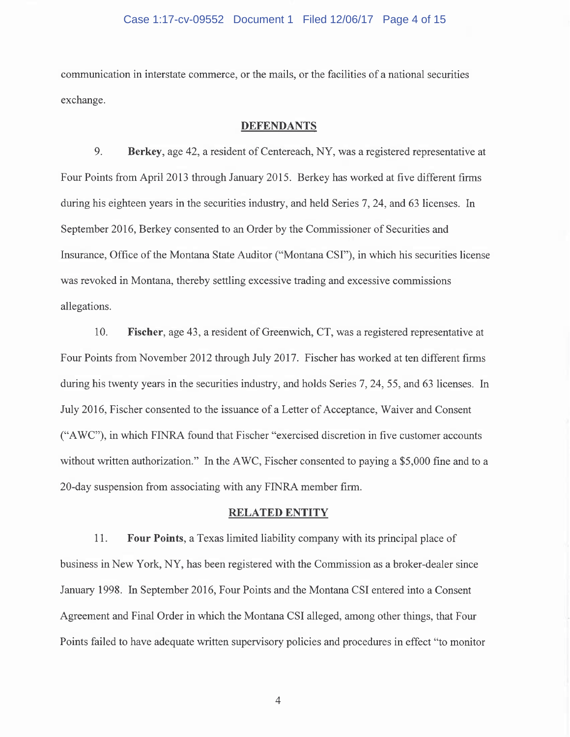#### Case 1:17-cv-09552 Document 1 Filed 12/06/17 Page 4 of 15

communication in interstate commerce, or the mails, or the facilities of a national securities exchange.

#### **DEFENDANTS**

9. **Berkey,** age 42, a resident of Centereach, NY, was a registered representative at Four Points from April 2013 through January 2015. Berkey has worked at five different firms during his eighteen years in the securities industry, and held Series 7, 24, and 63 licenses. In September 2016, Berkey consented to an Order by the Commissioner of Securities and Insurance, Office of the Montana State Auditor ("Montana CSI"), in which his securities license was revoked in Montana, thereby settling excessive trading and excessive commissions allegations.

10. **Fischer,** age 43, a resident of Greenwich, CT, was a registered representative at Four Points from November 2012 through July 2017. Fischer has worked at ten different firms during his twenty years in the securities industry, and holds Series 7, 24, 55, and 63 licenses. In July 2016, Fischer consented to the issuance of a Letter of Acceptance, Waiver and Consent ("A WC"), in which FINRA found that Fischer "exercised discretion in five customer accounts without written authorization." In the A WC, Fischer consented to paying a \$5,000 fine and to a 20-day suspension from associating with any FINRA member firm.

#### **RELATED ENTITY**

11. **Four Points,** a Texas limited liability company with its principal place of business in New York, NY, has been registered with the Commission as a broker-dealer since January 1998. In September 2016, Four Points and the Montana CSI entered into a Consent Agreement and Final Order in which the Montana CSI alleged, among other things, that Four Points failed to have adequate written supervisory policies and procedures in effect "to monitor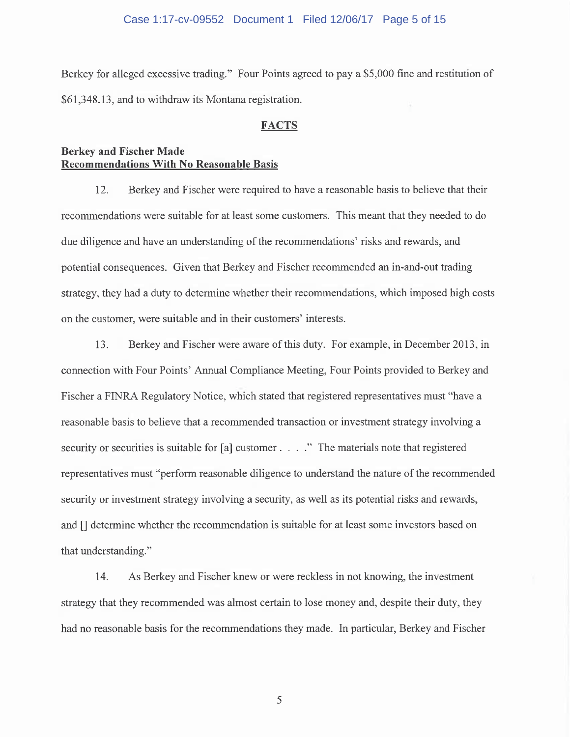#### Case 1:17-cv-09552 Document 1 Filed 12/06/17 Page 5 of 15

Berkey for alleged excessive trading." Four Points agreed to pay a \$5,000 fine and restitution of \$61,348.13, and to withdraw its Montana registration.

#### **FACTS**

## **Berkey and Fischer Made Recommendations With No Reasonable Basis**

12. Berkey and Fischer were required to have a reasonable basis to believe that their recommendations were suitable for at least some customers. This meant that they needed to do due diligence and have an understanding of the recommendations' risks and rewards, and potential consequences. Given that Berkey and Fischer recommended an in-and-out trading strategy, they had a duty to determine whether their recommendations, which imposed high costs on the customer, were suitable and in their customers' interests.

13. Berkey and Fischer were aware of this duty. For example, in December 2013, in connection with Four Points' Annual Compliance Meeting, Four Points provided to Berkey and Fischer a FINRA Regulatory Notice, which stated that registered representatives must "have a reasonable basis to believe that a recommended transaction or investment strategy involving a security or securities is suitable for [a] customer . . . . " The materials note that registered representatives must "perform reasonable diligence to understand the nature of the recommended security or investment strategy involving a security, as well as its potential risks and rewards, and [] determine whether the recommendation is suitable for at least some investors based on that understanding."

14. As Berkey and Fischer knew or were reckless in not knowing, the investment strategy that they recommended was almost certain to lose money and, despite their duty, they had no reasonable basis for the recommendations they made. In particular, Berkey and Fischer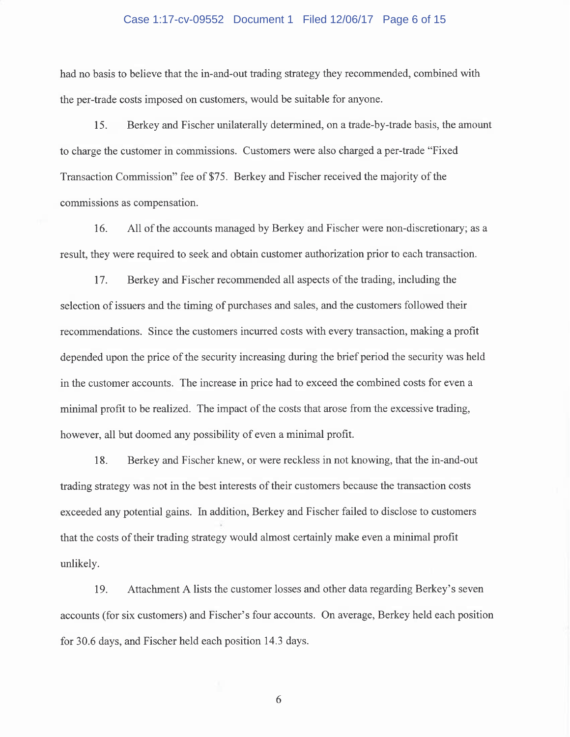#### Case 1:17-cv-09552 Document 1 Filed 12/06/17 Page 6 of 15

had no basis to believe that the in-and-out trading strategy they recommended, combined with the per-trade costs imposed on customers, would be suitable for anyone.

15. Berkey and Fischer unilaterally determined, on a trade-by-trade basis, the amount to charge the customer in commissions. Customers were also charged a per-trade "Fixed Transaction Commission" fee of \$75. Berkey and Fischer received the majority of the commissions as compensation.

16. All of the accounts managed by Berkey and Fischer were non-discretionary; as a result, they were required to seek and obtain customer authorization prior to each transaction.

17. Berkey and Fischer recommended all aspects of the trading, including the selection of issuers and the timing of purchases and sales, and the customers followed their recommendations. Since the customers incurred costs with every transaction, making a profit depended upon the price of the security increasing during the brief period the security was held in the customer accounts. The increase in price had to exceed the combined costs for even a minimal profit to be realized. The impact of the costs that arose from the excessive trading, however, all but doomed any possibility of even a minimal profit.

18. Berkey and Fischer knew, or were reckless in not knowing, that the in-and-out trading strategy was not in the best interests of their customers because the transaction costs exceeded any potential gains. In addition, Berkey and Fischer failed to disclose to customers that the costs of their trading strategy would almost certainly make even a minimal profit unlikely.

19. Attachment A lists the customer losses and other data regarding Berkey's seven accounts (for six customers) and Fischer's four accounts. On average, Berkey held each position for 30.6 days, and Fischer held each position 14.3 days.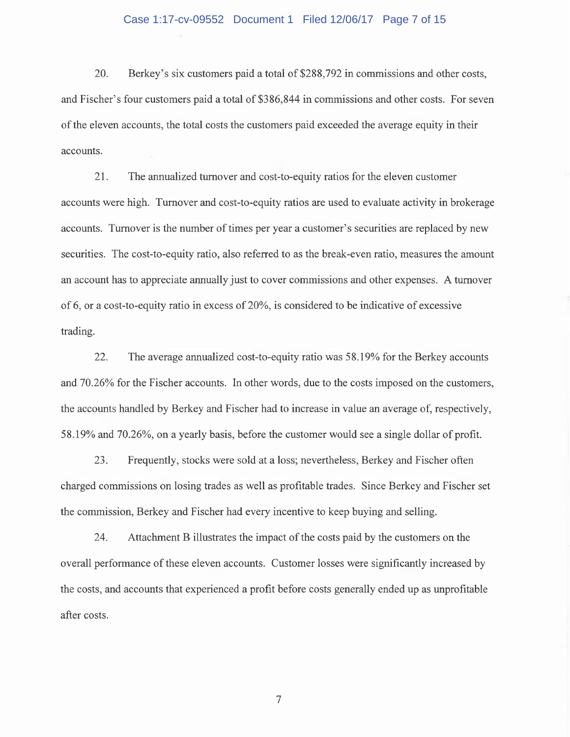#### Case 1:17-cv-09552 Document 1 Filed 12/06/17 Page 7 of 15

20. Berkey's six customers paid a total of \$288,792 in commissions and other costs, and Fischer's four customers paid a total of \$386,844 in commissions and other costs. For seven of the eleven accounts, the total costs the customers paid exceeded the average equity in their accounts.

21. The annualized turnover and cost-to-equity ratios for the eleven customer accounts were high. Turnover and cost-to-equity ratios are used to evaluate activity in brokerage accounts. Turnover is the number of times per year a customer's securities are replaced by new securities. The cost-to-equity ratio, also referred to as the break-even ratio, measures the amount an account has to appreciate annually just to cover commissions and other expenses. A turnover of 6, or a cost-to-equity ratio in excess of 20%, is considered to be indicative of excessive trading.

22. The average annualized cost-to-equity ratio was 58.19% for the Berkey accounts and 70.26% for the Fischer accounts. In other words, due to the costs imposed on the customers, the accounts handled by Berkey and Fischer had to increase in value an average of, respectively, 58.19% and 70.26%, on a yearly basis, before the customer would see a single dollar of profit.

23. Frequently, stocks were sold at a loss; nevertheless, Berkey and Fischer often charged commissions on losing trades as well as profitable trades. Since Berkey and Fischer set the commission, Berkey and Fischer had every incentive to keep buying and selling.

24. Attachment B illustrates the impact of the costs paid by the customers on the overall performance of these eleven accounts. Customer losses were significantly increased by the costs, and accounts that experienced a profit before costs generally ended up as unprofitable after costs.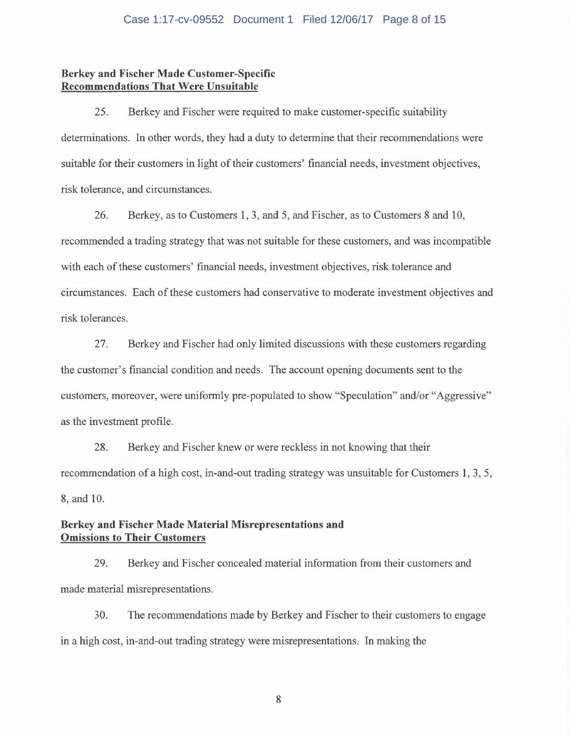### **Berkey and Fischer Made Customer-Specific Recommendations That Were Unsuitable**

25. Berkey and Fischer were required to make customer-specific suitability determinations. In other words, they had a duty to determine that their recommendations were suitable for their customers in light of their customers' financial needs, investment objectives, risk tolerance, and circumstances.

26. Berkey, as to Customers 1, 3, and 5, and Fischer, as to Customers 8 and 10, recommended a trading strategy that was not suitable for these customers, and was incompatible with each of these customers' financial needs, investment objectives, risk tolerance and circumstances. Each of these customers had conservative to moderate investment objectives and risk tolerances.

27. Berkey and Fischer had only limited discussions with these customers regarding the customer's financial condition and needs. The account opening documents sent to the customers, moreover, were uniformly pre-populated to show "Speculation" and/or "Aggressive" as the investment profile.

28. Berkey and Fischer knew or were reckless in not knowing that their recommendation of a high cost, in-and-out trading strategy was unsuitable for Customers **1,** 3, 5, 8, and 10.

## **Berkey and Fischer Made Material Misrepresentations and Omissions to Their Customers**

29. Berkey and Fischer concealed material information from their customers and made material misrepresentations.

30. The recommendations made by Berkey and Fischer to their customers to engage in a high cost, in-and-out trading strategy were misrepresentations. In making the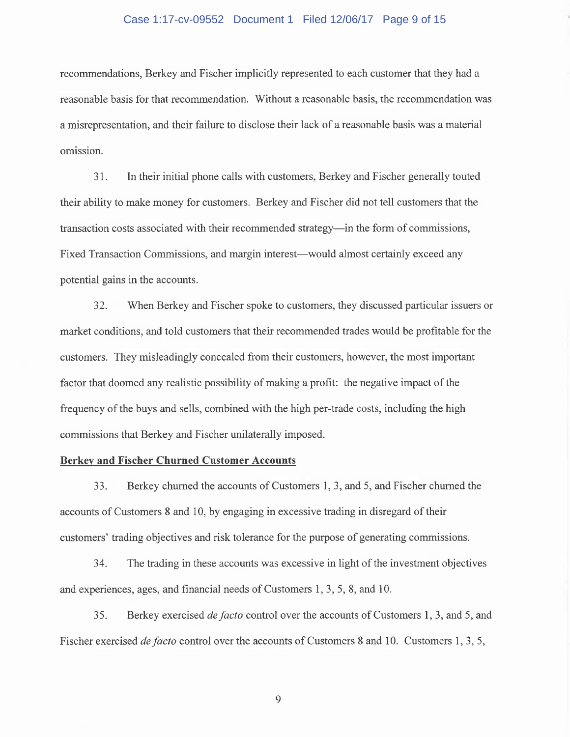#### Case 1:17-cv-09552 Document 1 Filed 12/06/17 Page 9 of 15

recommendations, Berkey and Fischer implicitly represented to each customer that they had a reasonable basis for that recommendation. Without a reasonable basis, the recommendation was a misrepresentation, and their failure to disclose their lack of a reasonable basis was a material omission.

31. In their initial phone calls with customers, Berkey and Fischer generally touted their ability to make money for customers. Berkey and Fischer did not tell customers that the transaction costs associated with their recommended strategy-in the form of commissions, Fixed Transaction Commissions, and margin interest—would almost certainly exceed any potential gains in the accounts.

32. When Berkey and Fischer spoke to customers, they discussed particular issuers or market conditions, and told customers that their recommended trades would be profitable for the customers. They misleadingly concealed from their customers, however, the most important factor that doomed any realistic possibility of making a profit: the negative impact of the frequency of the buys and sells, combined with the high per-trade costs, including the high commissions that Berkey and Fischer unilaterally imposed.

## **Berkey and Fischer Churned Customer Accounts**

33. Berkey churned the accounts of Customers **1,** 3, and 5, and Fischer churned the accounts of Customers 8 and 10, by engaging in excessive trading in disregard of their customers' trading objectives and risk tolerance for the purpose of generating commissions.

34. The trading in these accounts was excessive in light of the investment objectives and experiences, ages, and financial needs of Customers 1, 3, 5, 8, and 10.

35. Berkey exercised *de facto* control over the accounts of Customers **1,** 3, and 5, and Fischer exercised *de facto* control over the accounts of Customers 8 and 10. Customers 1, 3, 5,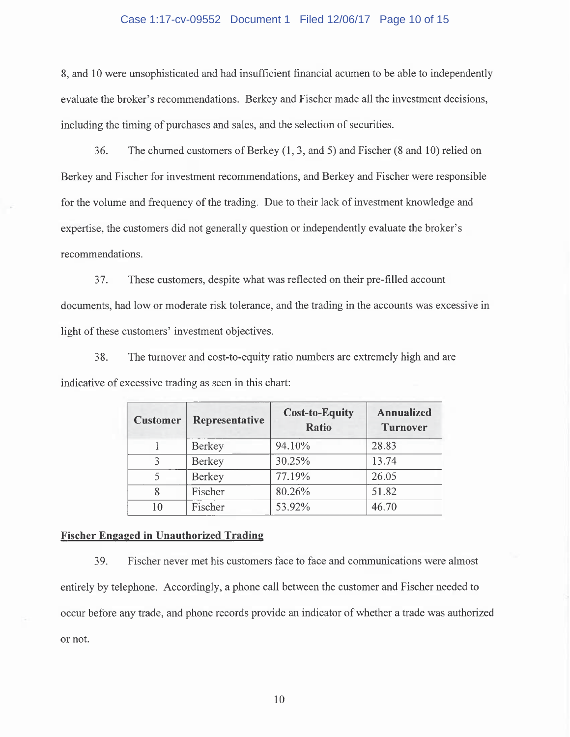#### Case 1:17-cv-09552 Document 1 Filed 12/06/17 Page 10 of 15

8, and 10 were unsophisticated and had insufficient financial acumen to be able to independently evaluate the broker's recommendations. Berkey and Fischer made all the investment decisions, including the timing of purchases and sales, and the selection of securities.

36. The churned customers of Berkey (1, 3, and 5) and Fischer (8 and 10) relied on Berkey and Fischer for investment recommendations, and Berkey and Fischer were responsible for the volume and frequency of the trading. Due to their lack of investment knowledge and expertise, the customers did not generally question or independently evaluate the broker's recommendations.

3 7. These customers, despite what was reflected on their pre-filled account documents, had low or moderate risk tolerance, and the trading in the accounts was excessive in light of these customers' investment objectives.

38. The turnover and cost-to-equity ratio numbers are extremely high and are indicative of excessive trading as seen in this chart:

| <b>Customer</b> | Representative | <b>Cost-to-Equity</b><br><b>Ratio</b> | <b>Annualized</b><br><b>Turnover</b> |  |
|-----------------|----------------|---------------------------------------|--------------------------------------|--|
|                 | Berkey         | 94.10%                                | 28.83                                |  |
| $\mathbf{R}$    | <b>Berkey</b>  | 30.25%                                | 13.74                                |  |
|                 | <b>Berkey</b>  | 77.19%                                | 26.05                                |  |
| 8               | Fischer        | 80.26%                                | 51.82                                |  |
| 10              | Fischer        | 53.92%                                | 46.70                                |  |

#### **Fischer Engaged in Unauthorized Trading**

39. Fischer never met his customers face to face and communications were almost entirely by telephone. Accordingly, a phone call between the customer and Fischer needed to occur before any trade, and phone records provide an indicator of whether a trade was authorized or not.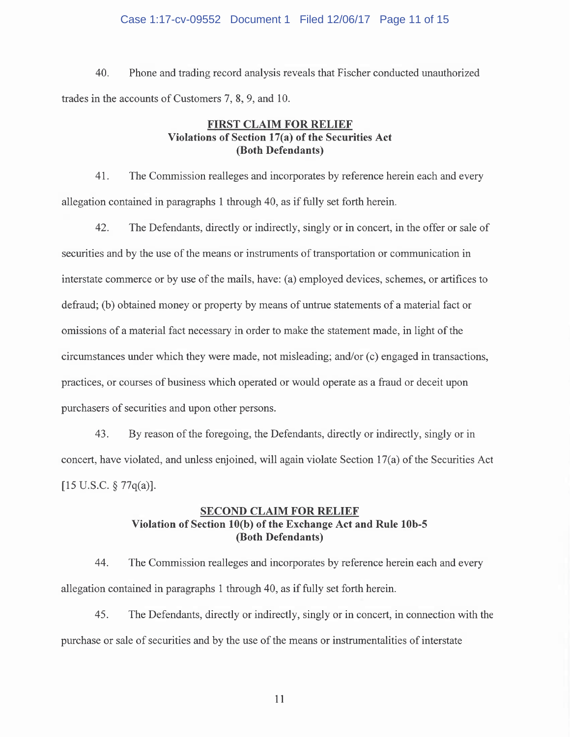#### Case 1:17-cv-09552 Document 1 Filed 12/06/17 Page 11 of 15

40. Phone and trading record analysis reveals that Fischer conducted unauthorized trades in the accounts of Customers 7, 8, 9, and 10.

## **FIRST CLAIM FOR RELIEF Violations of Section 17(a) of the Securities Act (Both Defendants)**

41. The Commission realleges and incorporates by reference herein each and every allegation contained in paragraphs **1** through 40, as if fully set forth herein.

42. The Defendants, directly or indirectly, singly or in concert, in the offer or sale of securities and by the use of the means or instruments of transportation or communication in interstate commerce or by use of the mails, have: (a) employed devices, schemes, or artifices to defraud; (b) obtained money or property by means of untrue statements of a material fact or omissions of a material fact necessary in order to make the statement made, in light of the circumstances under which they were made, not misleading; and/or ( c) engaged in transactions, practices, or courses of business which operated or would operate as a fraud or deceit upon purchasers of securities and upon other persons.

43. By reason of the foregoing, the Defendants, directly or indirectly, singly or in concert, have violated, and unless enjoined, will again violate Section 17(a) of the Securities Act  $[15 \text{ U.S.C. } \S 77q(a)].$ 

## **SECOND CLAIM FOR RELIEF Violation of Section lO(b) of the Exchange Act and Rule lOb-5 (Both Defendants)**

44. The Commission realleges and incorporates by reference herein each and every allegation contained in paragraphs 1 through 40, as if fully set forth herein.

45. The Defendants, directly or indirectly, singly or in concert, in connection with the purchase or sale of securities and by the use of the means or instrumentalities of interstate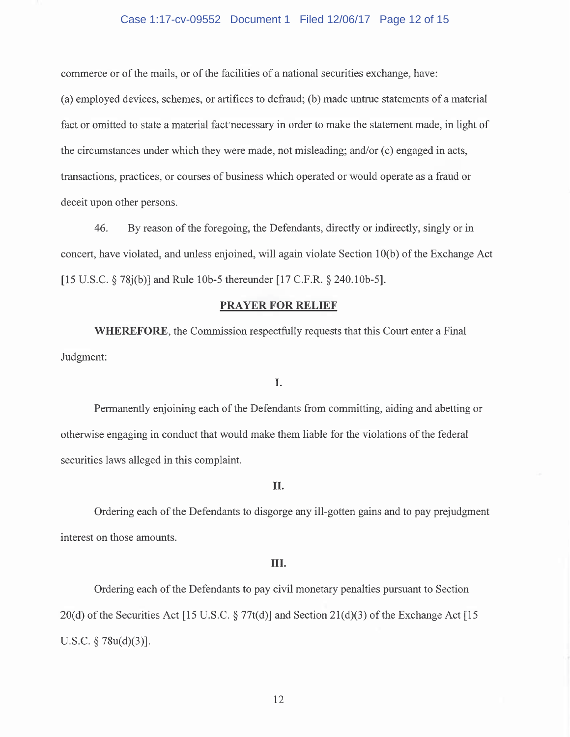#### Case 1:17-cv-09552 Document 1 Filed 12/06/17 Page 12 of 15

commerce or of the mails, or of the facilities of a national securities exchange, have:

(a) employed devices, schemes, or artifices to defraud; (b) made untrue statements of a material fact or omitted to state a material fact'necessary in order to make the statement made, in light of the circumstances under which they were made, not misleading; and/or (c) engaged in acts, transactions, practices, or courses of business which operated or would operate as a fraud or deceit upon other persons.

46. By reason of the foregoing, the Defendants, directly or indirectly, singly or in concert, have violated, and unless enjoined, will again violate Section 10(b) of the Exchange Act [15 U.S.C. § 78j(b)] and Rule 10b-5 thereunder [17 C.F.R. § 240.10b-5].

#### **PRAYER FOR RELIEF**

**WHEREFORE,** the Commission respectfully requests that this Court enter a Final Judgment:

## I.

Permanently enjoining each of the Defendants from committing, aiding and abetting or otherwise engaging in conduct that would make them liable for the violations of the federal securities laws alleged in this complaint.

#### II.

Ordering each of the Defendants to disgorge any ill-gotten gains and to pay prejudgment interest on those amounts.

#### III.

Ordering each of the Defendants to pay civil monetary penalties pursuant to Section 20(d) of the Securities Act [15 U.S.C.  $\S 77t(d)$ ] and Section 21(d)(3) of the Exchange Act [15 U.S.C.  $\S$  78u(d)(3)].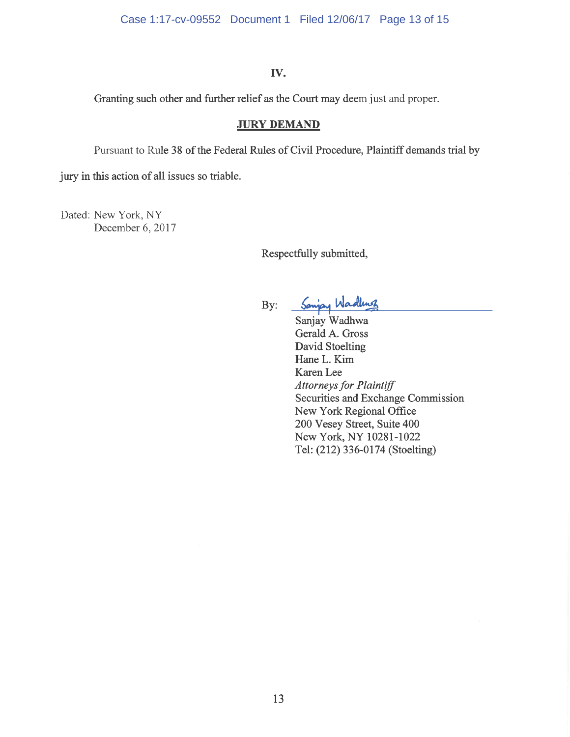## **IV.**

Granting such other and further relief as the Court may deem just and proper.

## **JURY DEMAND**

Pursuant to Rule 38 of the Federal Rules of Civil Procedure, Plaintiff demands trial by

jury in this action of all issues so triable.

Dated: New York, NY December 6, 2017

Respectfully submitted,

By: Sanjay Wadles

Sanjay Wadhwa Gerald A. Gross David Stoelting HaneL. Kim Karen Lee *Attorneys for Plaintiff*  Securities and Exchange Commission New York Regional Office 200 Vesey Street, Suite 400 New York, NY 10281-1022 Tel: (212) 336-0174 (Stoelting)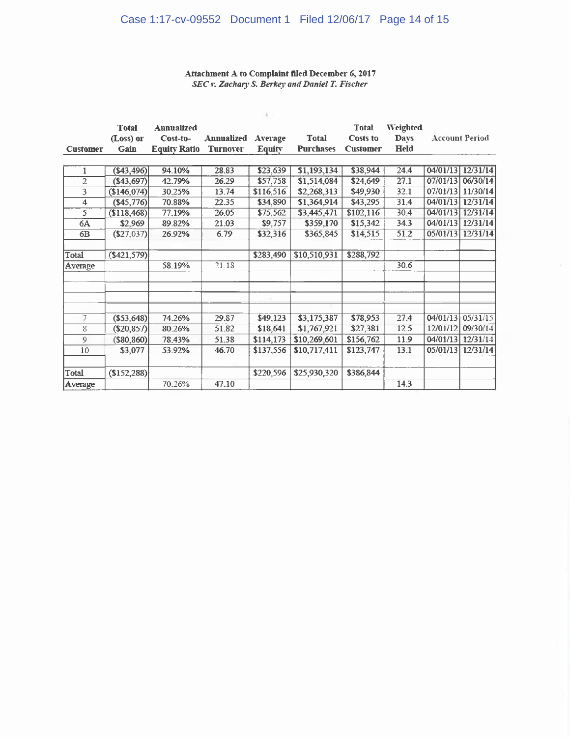# Case 1:17-cv-09552 Document 1 Filed 12/06/17 Page 14 of 15

#### Attachment A to Complaint filed December 6, 2017 SEC v. Zachary S. Berkey and Daniel T. Fischer

| <b>Total</b> | <b>Annualized</b> |                                                                                                                                                                                  |                                     |                                                  | <b>Total</b>                                               | Weighted                                             |                                            |                                                                                                           |
|--------------|-------------------|----------------------------------------------------------------------------------------------------------------------------------------------------------------------------------|-------------------------------------|--------------------------------------------------|------------------------------------------------------------|------------------------------------------------------|--------------------------------------------|-----------------------------------------------------------------------------------------------------------|
|              |                   |                                                                                                                                                                                  |                                     |                                                  |                                                            |                                                      |                                            |                                                                                                           |
| Gain         |                   | <b>Turnover</b>                                                                                                                                                                  |                                     | <b>Purchases</b>                                 | <b>Customer</b>                                            |                                                      |                                            |                                                                                                           |
|              |                   |                                                                                                                                                                                  |                                     |                                                  |                                                            |                                                      |                                            |                                                                                                           |
|              | 94.10%            | 28.83                                                                                                                                                                            | \$23,639                            | \$1,193,134                                      | \$38,944                                                   | 24.4                                                 |                                            | 12/31/14                                                                                                  |
|              | 42.79%            | 26.29                                                                                                                                                                            | \$57,758                            | \$1,514,084                                      | \$24,649                                                   | 27.1                                                 |                                            | 06/30/14                                                                                                  |
|              | 30.25%            | 13.74                                                                                                                                                                            | \$116,516                           | \$2,268,313                                      | \$49,930                                                   | 32.1                                                 |                                            | 11/30/14                                                                                                  |
|              | 70.88%            | 22.35                                                                                                                                                                            | \$34,890                            | \$1,364,914                                      | \$43,295                                                   | 31.4                                                 |                                            | 12/31/14                                                                                                  |
| \$118,468    | 77.19%            | 26.05                                                                                                                                                                            | \$75,562                            | \$3,445,471                                      | \$102,116                                                  | 30.4                                                 | 04/01/13                                   | 12/31/14                                                                                                  |
| \$2,969      | 89.82%            | 21.03                                                                                                                                                                            | \$9,757                             | \$359,170                                        | \$15,342                                                   | 34.3                                                 | 04/01/13                                   | 12/31/14                                                                                                  |
|              | 26.92%            | 6.79                                                                                                                                                                             | \$32,316                            | \$365,845                                        | \$14,515                                                   | 51.2                                                 | 05/01/13                                   | 12/31/14                                                                                                  |
|              |                   |                                                                                                                                                                                  |                                     |                                                  |                                                            |                                                      |                                            |                                                                                                           |
|              |                   |                                                                                                                                                                                  | \$283,490                           |                                                  |                                                            |                                                      |                                            |                                                                                                           |
|              | 58.19%            | 21.18                                                                                                                                                                            |                                     |                                                  |                                                            | 30.6                                                 |                                            |                                                                                                           |
|              |                   |                                                                                                                                                                                  |                                     |                                                  |                                                            |                                                      |                                            |                                                                                                           |
|              |                   |                                                                                                                                                                                  |                                     |                                                  |                                                            |                                                      |                                            |                                                                                                           |
|              |                   |                                                                                                                                                                                  |                                     |                                                  |                                                            |                                                      |                                            |                                                                                                           |
|              |                   |                                                                                                                                                                                  |                                     |                                                  |                                                            |                                                      |                                            |                                                                                                           |
|              |                   |                                                                                                                                                                                  |                                     |                                                  |                                                            |                                                      |                                            | 05/31/15                                                                                                  |
|              | 80.26%            |                                                                                                                                                                                  |                                     |                                                  |                                                            |                                                      |                                            | 09/30/14                                                                                                  |
| ( \$80, 860) | 78.43%            | 51.38                                                                                                                                                                            | \$114,173                           | \$10,269,601                                     | \$156,762                                                  | 11.9                                                 |                                            | 12/31/14                                                                                                  |
| \$3,077      | 53.92%            | 46.70                                                                                                                                                                            | \$137,556                           | \$10,717,411                                     | \$123,747                                                  | 13.1                                                 | 05/01/13                                   | 12/31/14                                                                                                  |
|              |                   |                                                                                                                                                                                  |                                     |                                                  |                                                            |                                                      |                                            |                                                                                                           |
|              |                   |                                                                                                                                                                                  | \$220,596                           | \$25,930,320                                     | \$386,844                                                  |                                                      |                                            |                                                                                                           |
|              | 70.26%            | 47.10                                                                                                                                                                            |                                     |                                                  |                                                            | 14.3                                                 |                                            |                                                                                                           |
|              | (Loss) or         | Cost-to-<br><b>Equity Ratio</b><br>(\$43,496)<br>( \$43,697)<br>\$146,074<br>(\$45,776)<br>(\$27,037)<br>(\$421,579)<br>$($ \$53,648)<br>74.26%<br>$($ \$20,857 $)$<br>\$152,288 | <b>Annualized</b><br>29.87<br>51.82 | Average<br><b>Equity</b><br>\$49,123<br>\$18,641 | <b>Total</b><br>\$10,510,931<br>\$3,175,387<br>\$1,767,921 | <b>Costs to</b><br>\$288,792<br>\$78,953<br>\$27,381 | <b>Days</b><br><b>Held</b><br>27.4<br>12.5 | <b>Account Period</b><br>04/01/13<br>07/01/13<br>07/01/13<br>04/01/13<br>04/01/13<br>12/01/12<br>04/01/13 |